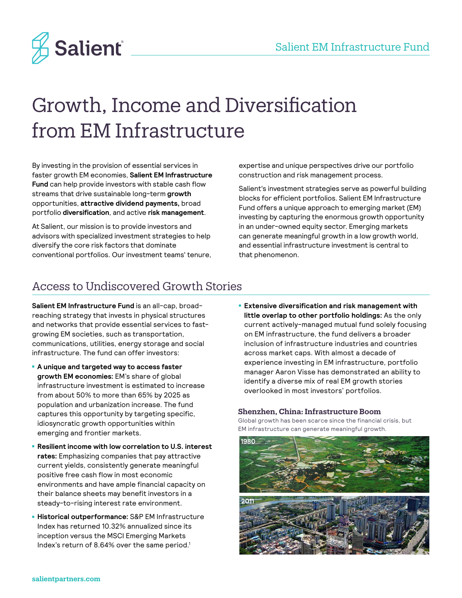

# Growth, Income and Diversification from EM Infrastructure

By investing in the provision of essential services in faster growth EM economies, **Salient EM Infrastructure Fund** can help provide investors with stable cash flow streams that drive sustainable long-term **growth** opportunities, **attractive dividend payments,** broad portfolio **diversification**, and active **risk management**.

At Salient, our mission is to provide investors and advisors with specialized investment strategies to help diversify the core risk factors that dominate conventional portfolios. Our investment teams' tenure, expertise and unique perspectives drive our portfolio construction and risk management process.

Salient's investment strategies serve as powerful building blocks for efficient portfolios. Salient EM Infrastructure Fund offers a unique approach to emerging market (EM) investing by capturing the enormous growth opportunity in an under-owned equity sector. Emerging markets can generate meaningful growth in a low growth world, and essential infrastructure investment is central to that phenomenon.

## Access to Undiscovered Growth Stories

**Salient EM Infrastructure Fund** is an all-cap, broadreaching strategy that invests in physical structures and networks that provide essential services to fastgrowing EM societies, such as transportation, communications, utilities, energy storage and social infrastructure. The fund can offer investors:

- **A unique and targeted way to access faster growth EM economies:** EM's share of global infrastructure investment is estimated to increase from about 50% to more than 65% by 2025 as population and urbanization increase. The fund captures this opportunity by targeting specific, idiosyncratic growth opportunities within emerging and frontier markets.
- **Resilient income with low correlation to U.S. interest rates:** Emphasizing companies that pay attractive current yields, consistently generate meaningful positive free cash flow in most economic environments and have ample financial capacity on their balance sheets may benefit investors in a steady-to-rising interest rate environment.
- **Historical outperformance:** S&P EM Infrastructure Index has returned 10.32% annualized since its inception versus the MSCI Emerging Markets Index's return of 8.64% over the same period.<sup>1</sup>

■ **Extensive diversification and risk management with little overlap to other portfolio holdings:** As the only current actively-managed mutual fund solely focusing on EM infrastructure, the fund delivers a broader inclusion of infrastructure industries and countries across market caps. With almost a decade of experience investing in EM infrastructure, portfolio manager Aaron Visse has demonstrated an ability to identify a diverse mix of real EM growth stories overlooked in most investors' portfolios.

### **Shenzhen, China: Infrastructure Boom**

Global growth has been scarce since the financial crisis, but EM infrastructure can generate meaningful growth.

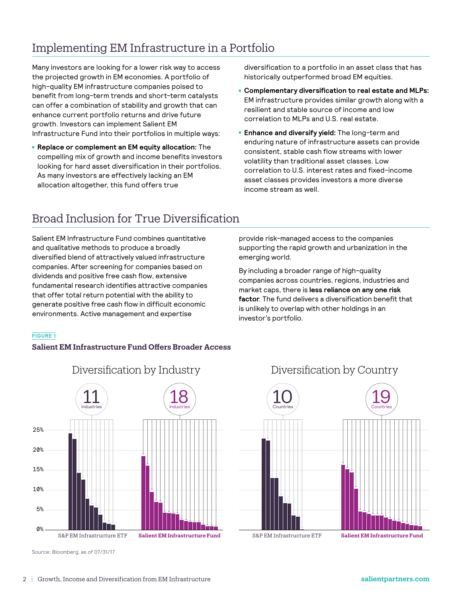## Implementing EM Infrastructure in a Portfolio

Many investors are looking for a lower risk way to access the projected growth in EM economies. A portfolio of high-quality EM infrastructure companies poised to benefit from long-term trends and short-term catalysts can offer a combination of stability and growth that can enhance current portfolio returns and drive future growth. Investors can implement Salient EM Infrastructure Fund into their portfolios in multiple ways:

■ **Replace or complement an EM equity allocation:** The compelling mix of growth and income benefits investors looking for hard asset diversification in their portfolios. As many investors are effectively lacking an EM allocation altogether, this fund offers true

diversification to a portfolio in an asset class that has historically outperformed broad EM equities.

- **Complementary diversification to real estate and MLPs:** EM infrastructure provides similar growth along with a resilient and stable source of income and low correlation to MLPs and U.S. real estate.
- **Enhance and diversify yield:** The long-term and enduring nature of infrastructure assets can provide consistent, stable cash flow streams with lower volatility than traditional asset classes. Low correlation to U.S. interest rates and fixed-income asset classes provides investors a more diverse income stream as well.

## Broad Inclusion for True Diversification

Salient EM Infrastructure Fund combines quantitative and qualitative methods to produce a broadly diversified blend of attractively valued infrastructure companies. After screening for companies based on dividends and positive free cash flow, extensive fundamental research identifies attractive companies that offer total return potential with the ability to generate positive free cash flow in difficult economic environments. Active management and expertise

## **FIGURE 1**

## **Salient EM Infrastructure Fund Offers Broader Access**



Source: Bloomberg, as of 07/31/17

## provide risk-managed access to the companies supporting the rapid growth and urbanization in the emerging world.

By including a broader range of high-quality companies across countries, regions, industries and market caps, there is **less reliance on any one risk factor**. The fund delivers a diversification benefit that is unlikely to overlap with other holdings in an investor's portfolio.

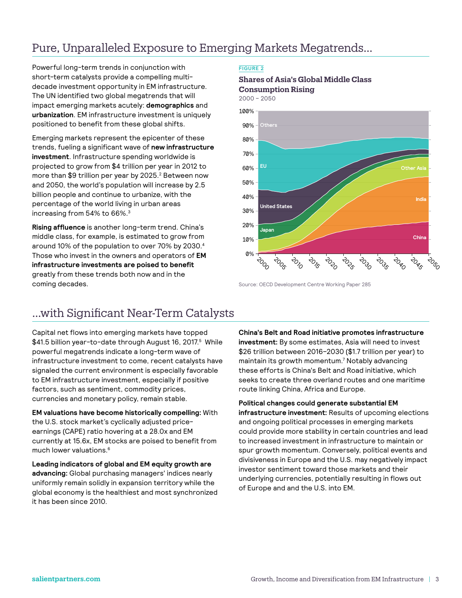## Pure, Unparalleled Exposure to Emerging Markets Megatrends…

Powerful long-term trends in conjunction with short-term catalysts provide a compelling multidecade investment opportunity in EM infrastructure. The UN identified two global megatrends that will impact emerging markets acutely: **demographics** and **urbanization**. EM infrastructure investment is uniquely positioned to benefit from these global shifts.

Emerging markets represent the epicenter of these trends, fueling a significant wave of **new infrastructure investment**. Infrastructure spending worldwide is projected to grow from \$4 trillion per year in 2012 to more than \$9 trillion per year by 2025.<sup>2</sup> Between now and 2050, the world's population will increase by 2.5 billion people and continue to urbanize, with the percentage of the world living in urban areas increasing from 54% to 66%.3

**Rising affluence** is another long-term trend. China's middle class, for example, is estimated to grow from around 10% of the population to over 70% by 2030.4 Those who invest in the owners and operators of **EM infrastructure investments are poised to benefit**  greatly from these trends both now and in the coming decades.

### **FIGURE 2**

## **Shares of Asia's Global Middle Class Consumption Rising**



Source: OECD Development Centre Working Paper 285

## …with Significant Near-Term Catalysts

Capital net flows into emerging markets have topped \$41.5 billion year-to-date through August 16, 2017.5 While powerful megatrends indicate a long-term wave of infrastructure investment to come, recent catalysts have signaled the current environment is especially favorable to EM infrastructure investment, especially if positive factors, such as sentiment, commodity prices, currencies and monetary policy, remain stable.

**EM valuations have become historically compelling:** With the U.S. stock market's cyclically adjusted priceearnings (CAPE) ratio hovering at a 28.0x and EM currently at 15.6x, EM stocks are poised to benefit from much lower valuations.6

**Leading indicators of global and EM equity growth are advancing:** Global purchasing managers' indices nearly uniformly remain solidly in expansion territory while the global economy is the healthiest and most synchronized it has been since 2010.

**China's Belt and Road initiative promotes infrastructure investment:** By some estimates, Asia will need to invest \$26 trillion between 2016–2030 (\$1.7 trillion per year) to maintain its growth momentum.7 Notably advancing these efforts is China's Belt and Road initiative, which seeks to create three overland routes and one maritime route linking China, Africa and Europe.

**Political changes could generate substantial EM infrastructure investment:** Results of upcoming elections and ongoing political processes in emerging markets could provide more stability in certain countries and lead to increased investment in infrastructure to maintain or spur growth momentum. Conversely, political events and divisiveness in Europe and the U.S. may negatively impact investor sentiment toward those markets and their underlying currencies, potentially resulting in flows out of Europe and and the U.S. into EM.